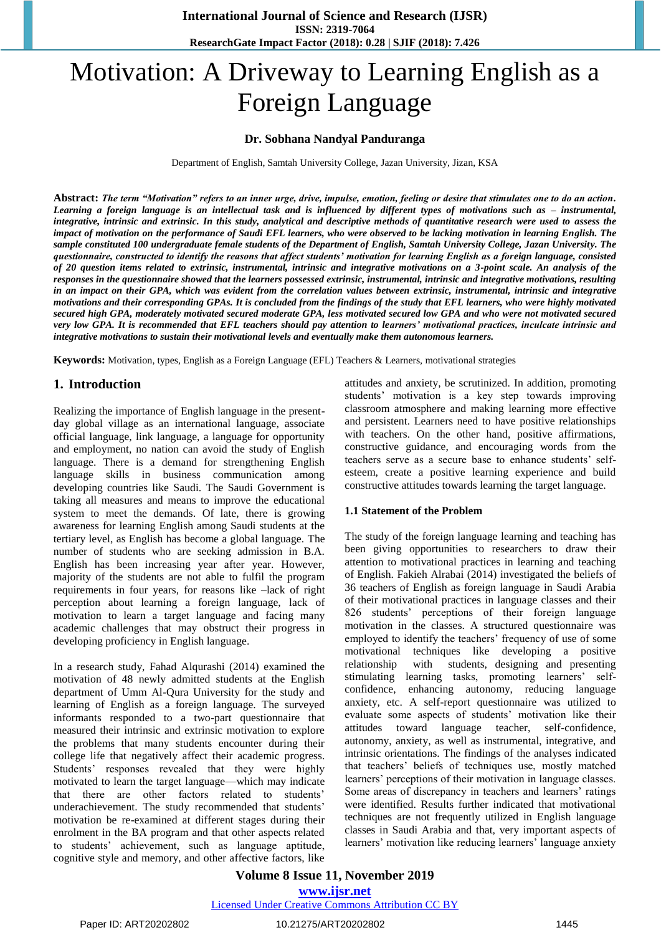# Motivation: A Driveway to Learning English as a Foreign Language

### **Dr. Sobhana Nandyal Panduranga**

Department of English, Samtah University College, Jazan University, Jizan, KSA

**Abstract:** *The term "Motivation" refers to an inner urge, drive, impulse, emotion, feeling or desire that stimulates one to do an action. Learning a foreign language is an intellectual task and is influenced by different types of motivations such as – instrumental, integrative, intrinsic and extrinsic. In this study, analytical and descriptive methods of quantitative research were used to assess the impact of motivation on the performance of Saudi EFL learners, who were observed to be lacking motivation in learning English. The sample constituted 100 undergraduate female students of the Department of English, Samtah University College, Jazan University. The questionnaire, constructed to identify the reasons that affect students' motivation for learning English as a foreign language, consisted of 20 question items related to extrinsic, instrumental, intrinsic and integrative motivations on a 3-point scale. An analysis of the responses in the questionnaire showed that the learners possessed extrinsic, instrumental, intrinsic and integrative motivations, resulting in an impact on their GPA, which was evident from the correlation values between extrinsic, instrumental, intrinsic and integrative motivations and their corresponding GPAs. It is concluded from the findings of the study that EFL learners, who were highly motivated secured high GPA, moderately motivated secured moderate GPA, less motivated secured low GPA and who were not motivated secured very low GPA. It is recommended that EFL teachers should pay attention to learners' motivational practices, inculcate intrinsic and integrative motivations to sustain their motivational levels and eventually make them autonomous learners.*

**Keywords:** Motivation, types, English as a Foreign Language (EFL) Teachers & Learners, motivational strategies

#### **1. Introduction**

Realizing the importance of English language in the presentday global village as an international language, associate official language, link language, a language for opportunity and employment, no nation can avoid the study of English language. There is a demand for strengthening English language skills in business communication among developing countries like Saudi. The Saudi Government is taking all measures and means to improve the educational system to meet the demands. Of late, there is growing awareness for learning English among Saudi students at the tertiary level, as English has become a global language. The number of students who are seeking admission in B.A. English has been increasing year after year. However, majority of the students are not able to fulfil the program requirements in four years, for reasons like –lack of right perception about learning a foreign language, lack of motivation to learn a target language and facing many academic challenges that may obstruct their progress in developing proficiency in English language.

In a research study, Fahad Alqurashi (2014) examined the motivation of 48 newly admitted students at the English department of Umm Al-Qura University for the study and learning of English as a foreign language. The surveyed informants responded to a two-part questionnaire that measured their intrinsic and extrinsic motivation to explore the problems that many students encounter during their college life that negatively affect their academic progress. Students' responses revealed that they were highly motivated to learn the target language—which may indicate that there are other factors related to students' underachievement. The study recommended that students' motivation be re-examined at different stages during their enrolment in the BA program and that other aspects related to students' achievement, such as language aptitude, cognitive style and memory, and other affective factors, like attitudes and anxiety, be scrutinized. In addition, promoting students' motivation is a key step towards improving classroom atmosphere and making learning more effective and persistent. Learners need to have positive relationships with teachers. On the other hand, positive affirmations, constructive guidance, and encouraging words from the teachers serve as a secure base to enhance students' selfesteem, create a positive learning experience and build constructive attitudes towards learning the target language.

#### **1.1 Statement of the Problem**

The study of the foreign language learning and teaching has been giving opportunities to researchers to draw their attention to motivational practices in learning and teaching of English. Fakieh Alrabai (2014) investigated the beliefs of 36 teachers of English as foreign language in Saudi Arabia of their motivational practices in language classes and their 826 students' perceptions of their foreign language motivation in the classes. A structured questionnaire was employed to identify the teachers' frequency of use of some motivational techniques like developing a positive relationship with students, designing and presenting stimulating learning tasks, promoting learners' selfconfidence, enhancing autonomy, reducing language anxiety, etc. A self-report questionnaire was utilized to evaluate some aspects of students' motivation like their attitudes toward language teacher, self-confidence, autonomy, anxiety, as well as instrumental, integrative, and intrinsic orientations. The findings of the analyses indicated that teachers' beliefs of techniques use, mostly matched learners' perceptions of their motivation in language classes. Some areas of discrepancy in teachers and learners' ratings were identified. Results further indicated that motivational techniques are not frequently utilized in English language classes in Saudi Arabia and that, very important aspects of learners' motivation like reducing learners' language anxiety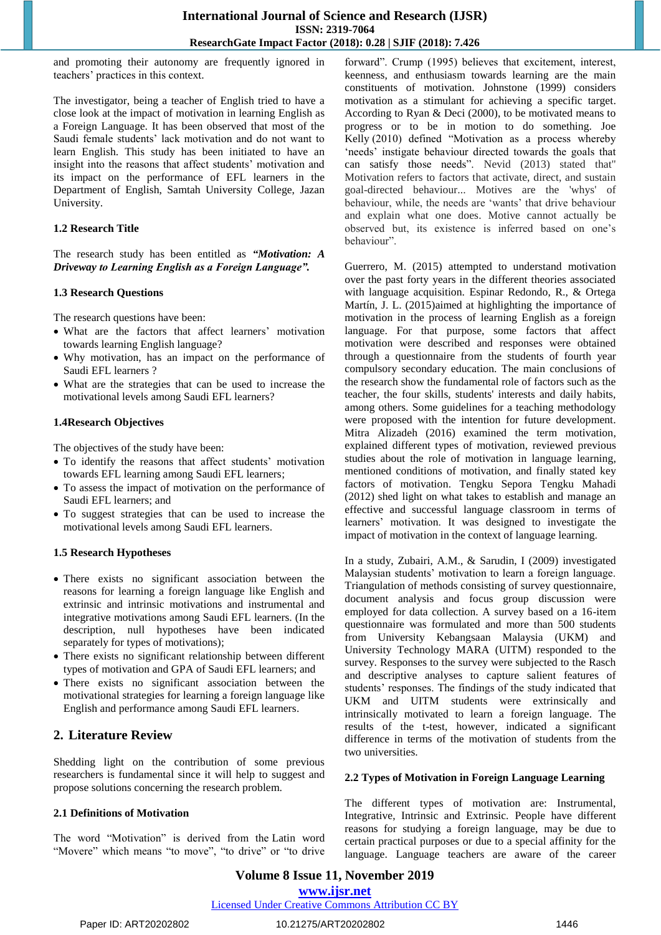and promoting their autonomy are frequently ignored in teachers' practices in this context.

The investigator, being a teacher of English tried to have a close look at the impact of motivation in learning English as a Foreign Language. It has been observed that most of the Saudi female students' lack motivation and do not want to learn English. This study has been initiated to have an insight into the reasons that affect students' motivation and its impact on the performance of EFL learners in the Department of English, Samtah University College, Jazan University.

#### **1.2 Research Title**

The research study has been entitled as *"Motivation: A Driveway to Learning English as a Foreign Language".*

#### **1.3 Research Questions**

The research questions have been:

- What are the factors that affect learners' motivation towards learning English language?
- Why motivation, has an impact on the performance of Saudi EFL learners ?
- What are the strategies that can be used to increase the motivational levels among Saudi EFL learners?

#### **1.4Research Objectives**

The objectives of the study have been:

- To identify the reasons that affect students' motivation towards EFL learning among Saudi EFL learners;
- To assess the impact of motivation on the performance of Saudi EFL learners; and
- To suggest strategies that can be used to increase the motivational levels among Saudi EFL learners.

#### **1.5 Research Hypotheses**

- There exists no significant association between the reasons for learning a foreign language like English and extrinsic and intrinsic motivations and instrumental and integrative motivations among Saudi EFL learners. (In the description, null hypotheses have been indicated separately for types of motivations);
- There exists no significant relationship between different types of motivation and GPA of Saudi EFL learners; and
- There exists no significant association between the motivational strategies for learning a foreign language like English and performance among Saudi EFL learners.

# **2. Literature Review**

Shedding light on the contribution of some previous researchers is fundamental since it will help to suggest and propose solutions concerning the research problem.

#### **2.1 Definitions of Motivation**

The word "Motivation" is derived from the Latin word "Movere" which means "to move", "to drive" or "to drive forward". Crump (1995) believes that excitement, interest, keenness, and enthusiasm towards learning are the main constituents of motivation. Johnstone (1999) considers motivation as a stimulant for achieving a specific target. According to Ryan & Deci (2000), to be motivated means to progress or to be in motion to do something. Joe Kelly (2010) defined "Motivation as a process whereby 'needs' instigate behaviour directed towards the goals that can satisfy those needs". Nevid (2013) stated that" Motivation refers to factors that activate, direct, and sustain goal-directed behaviour... Motives are the 'whys' of behaviour, while, the needs are 'wants' that drive behaviour and explain what one does. Motive cannot actually be observed but, its existence is inferred based on one's behaviour".

Guerrero, M. (2015) attempted to understand motivation over the past forty years in the different theories associated with language acquisition. Espinar Redondo, R., & Ortega Martín, J. L. (2015)aimed at highlighting the importance of motivation in the process of learning English as a foreign language. For that purpose, some factors that affect motivation were described and responses were obtained through a questionnaire from the students of fourth year compulsory secondary education. The main conclusions of the research show the fundamental role of factors such as the teacher, the four skills, students' interests and daily habits, among others. Some guidelines for a teaching methodology were proposed with the intention for future development. Mitra Alizadeh (2016) examined the term motivation, explained different types of motivation, reviewed previous studies about the role of motivation in language learning, mentioned conditions of motivation, and finally stated key factors of motivation. Tengku Sepora Tengku Mahadi (2012) shed light on what takes to establish and manage an effective and successful language classroom in terms of learners' motivation. It was designed to investigate the impact of motivation in the context of language learning.

In a study, Zubairi, A.M., & Sarudin, I (2009) investigated Malaysian students' motivation to learn a foreign language. Triangulation of methods consisting of survey questionnaire, document analysis and focus group discussion were employed for data collection. A survey based on a 16-item questionnaire was formulated and more than 500 students from University Kebangsaan Malaysia (UKM) and University Technology MARA (UITM) responded to the survey. Responses to the survey were subjected to the Rasch and descriptive analyses to capture salient features of students' responses. The findings of the study indicated that UKM and UITM students were extrinsically and intrinsically motivated to learn a foreign language. The results of the t-test, however, indicated a significant difference in terms of the motivation of students from the two universities.

#### **2.2 Types of Motivation in Foreign Language Learning**

The different types of motivation are: Instrumental, Integrative, Intrinsic and Extrinsic. People have different reasons for studying a foreign language, may be due to certain practical purposes or due to a special affinity for the language. Language teachers are aware of the career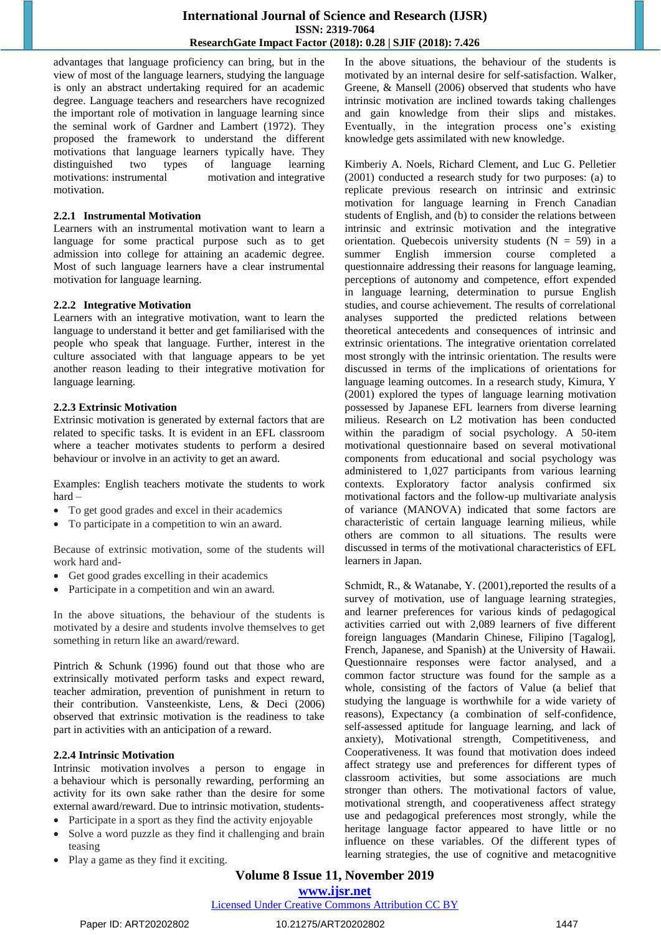advantages that language proficiency can bring, but in the view of most of the language learners, studying the language is only an abstract undertaking required for an academic degree. Language teachers and researchers have recognized the important role of motivation in language learning since the seminal work of Gardner and Lambert (1972). They proposed the framework to understand the different motivations that language learners typically have. They distinguished two types of language learning motivations: instrumental motivation and integrative motivation.

#### **2.2.1 Instrumental Motivation**

Learners with an instrumental motivation want to learn a language for some practical purpose such as to get admission into college for attaining an academic degree. Most of such language learners have a clear instrumental motivation for language learning.

### **2.2.2 Integrative Motivation**

Learners with an integrative motivation, want to learn the language to understand it better and get familiarised with the people who speak that language. Further, interest in the culture associated with that language appears to be yet another reason leading to their integrative motivation for language learning.

### **2.2.3 Extrinsic Motivation**

Extrinsic motivation is generated by external factors that are related to specific tasks. It is evident in an EFL classroom where a teacher motivates students to perform a desired behaviour or involve in an activity to get an award.

Examples: English teachers motivate the students to work hard –

- To get good grades and excel in their academics
- To participate in a competition to win an award.

Because of extrinsic motivation, some of the students will work hard and-

- Get good grades excelling in their academics
- Participate in a competition and win an award.

In the above situations, the behaviour of the students is motivated by a desire and students involve themselves to get something in return like an award/reward.

Pintrich & Schunk (1996) found out that those who are extrinsically motivated perform tasks and expect reward, teacher admiration, prevention of punishment in return to their contribution. Vansteenkiste, Lens, & Deci (2006) observed that extrinsic motivation is the readiness to take part in activities with an anticipation of a reward.

# **2.2.4 Intrinsic Motivation**

[Intrinsic motivation](https://www.verywellmind.com/what-is-intrinsic-motivation-2795385) involves a person to engage in a behaviour which is personally rewarding, performing an activity for its own sake rather than the desire for some external award/reward. Due to intrinsic motivation, students-

- Participate in a sport as they find the activity enjoyable
- Solve a word puzzle as they find it challenging and brain teasing
- Play a game as they find it exciting.

In the above situations, the behaviour of the students is motivated by an internal desire for self-satisfaction. Walker, Greene, & Mansell (2006) observed that students who have intrinsic motivation are inclined towards taking challenges and gain knowledge from their slips and mistakes. Eventually, in the integration process one's existing knowledge gets assimilated with new knowledge.

Kimberiy A. Noels, Richard Clement, and Luc G. Pelletier (2001) conducted a research study for two purposes: (a) to replicate previous research on intrinsic and extrinsic motivation for language learning in French Canadian students of English, and (b) to consider the relations between intrinsic and extrinsic motivation and the integrative orientation. Quebecois university students  $(N = 59)$  in a summer English immersion course completed a questionnaire addressing their reasons for language leaming, perceptions of autonomy and competence, effort expended in language learning, determination to pursue English studies, and course achievement. The results of correlational analyses supported the predicted relations between theoretical antecedents and consequences of intrinsic and extrinsic orientations. The integrative orientation correlated most strongly with the intrinsic orientation. The results were discussed in terms of the implications of orientations for language leaming outcomes. In a research study, Kimura, Y (2001) explored the types of language learning motivation possessed by Japanese EFL learners from diverse learning milieus. Research on L2 motivation has been conducted within the paradigm of social psychology. A 50-item motivational questionnaire based on several motivational components from educational and social psychology was administered to 1,027 participants from various learning contexts. Exploratory factor analysis confirmed six motivational factors and the follow-up multivariate analysis of variance (MANOVA) indicated that some factors are characteristic of certain language learning milieus, while others are common to all situations. The results were discussed in terms of the motivational characteristics of EFL learners in Japan.

Schmidt, R., & Watanabe, Y. (2001), reported the results of a survey of motivation, use of language learning strategies, and learner preferences for various kinds of pedagogical activities carried out with 2,089 learners of five different foreign languages (Mandarin Chinese, Filipino [Tagalog], French, Japanese, and Spanish) at the University of Hawaii. Questionnaire responses were factor analysed, and a common factor structure was found for the sample as a whole, consisting of the factors of Value (a belief that studying the language is worthwhile for a wide variety of reasons), Expectancy (a combination of self-confidence, self-assessed aptitude for language learning, and lack of anxiety), Motivational strength, Competitiveness, and Cooperativeness. It was found that motivation does indeed affect strategy use and preferences for different types of classroom activities, but some associations are much stronger than others. The motivational factors of value, motivational strength, and cooperativeness affect strategy use and pedagogical preferences most strongly, while the heritage language factor appeared to have little or no influence on these variables. Of the different types of learning strategies, the use of cognitive and metacognitive

# **Volume 8 Issue 11, November 2019 www.ijsr.net**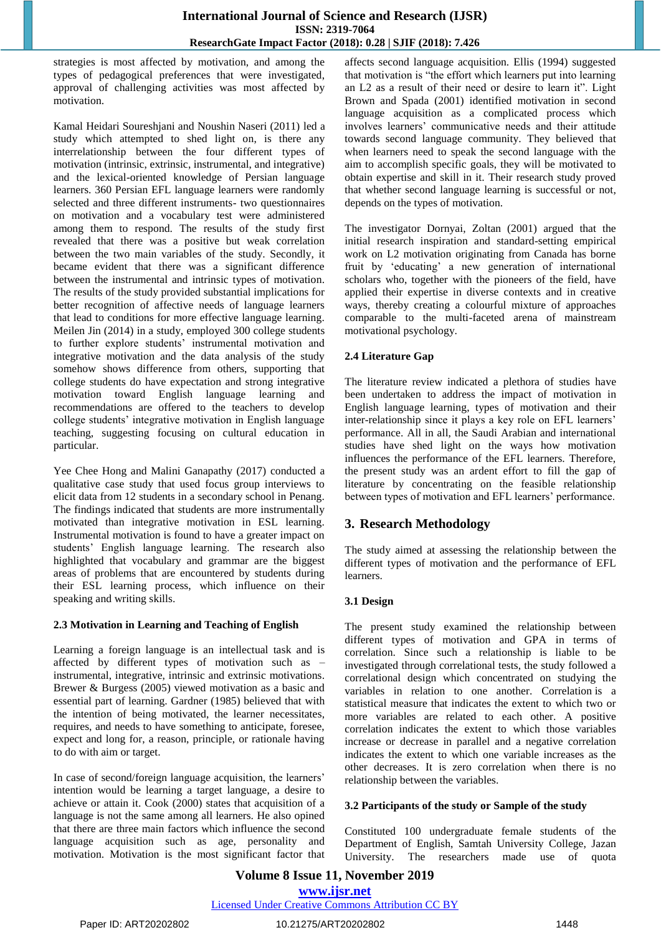strategies is most affected by motivation, and among the types of pedagogical preferences that were investigated, approval of challenging activities was most affected by motivation.

Kamal Heidari Soureshjani and Noushin Naseri (2011) led a study which attempted to shed light on, is there any interrelationship between the four different types of motivation (intrinsic, extrinsic, instrumental, and integrative) and the lexical-oriented knowledge of Persian language learners. 360 Persian EFL language learners were randomly selected and three different instruments- two questionnaires on motivation and a vocabulary test were administered among them to respond. The results of the study first revealed that there was a positive but weak correlation between the two main variables of the study. Secondly, it became evident that there was a significant difference between the instrumental and intrinsic types of motivation. The results of the study provided substantial implications for better recognition of affective needs of language learners that lead to conditions for more effective language learning. Meilen Jin (2014) in a study, employed 300 college students to further explore students' instrumental motivation and integrative motivation and the data analysis of the study somehow shows difference from others, supporting that college students do have expectation and strong integrative motivation toward English language learning and recommendations are offered to the teachers to develop college students' integrative motivation in English language teaching, suggesting focusing on cultural education in particular.

Yee Chee Hong and Malini Ganapathy (2017) conducted a qualitative case study that used focus group interviews to elicit data from 12 students in a secondary school in Penang. The findings indicated that students are more instrumentally motivated than integrative motivation in ESL learning. Instrumental motivation is found to have a greater impact on students' English language learning. The research also highlighted that vocabulary and grammar are the biggest areas of problems that are encountered by students during their ESL learning process, which influence on their speaking and writing skills.

#### **2.3 Motivation in Learning and Teaching of English**

Learning a foreign language is an intellectual task and is affected by different types of motivation such as – instrumental, integrative, intrinsic and extrinsic motivations. Brewer & Burgess (2005) viewed motivation as a basic and essential part of learning. Gardner (1985) believed that with the intention of being motivated, the learner necessitates, requires, and needs to have something to anticipate, foresee, expect and long for, a reason, principle, or rationale having to do with aim or target.

In case of second/foreign language acquisition, the learners' intention would be learning a target language, a desire to achieve or attain it. Cook (2000) states that acquisition of a language is not the same among all learners. He also opined that there are three main factors which influence the second language acquisition such as age, personality and motivation. Motivation is the most significant factor that affects second language acquisition. Ellis (1994) suggested that motivation is "the effort which learners put into learning an L2 as a result of their need or desire to learn it". Light Brown and Spada (2001) identified motivation in second language acquisition as a complicated process which involves learners' communicative needs and their attitude towards second language community. They believed that when learners need to speak the second language with the aim to accomplish specific goals, they will be motivated to obtain expertise and skill in it. Their research study proved that whether second language learning is successful or not, depends on the types of motivation.

The investigator Dornyai, Zoltan (2001) argued that the initial research inspiration and standard-setting empirical work on L2 motivation originating from Canada has borne fruit by 'educating' a new generation of international scholars who, together with the pioneers of the field, have applied their expertise in diverse contexts and in creative ways, thereby creating a colourful mixture of approaches comparable to the multi-faceted arena of mainstream motivational psychology.

# **2.4 Literature Gap**

The literature review indicated a plethora of studies have been undertaken to address the impact of motivation in English language learning, types of motivation and their inter-relationship since it plays a key role on EFL learners' performance. All in all, the Saudi Arabian and international studies have shed light on the ways how motivation influences the performance of the EFL learners. Therefore, the present study was an ardent effort to fill the gap of literature by concentrating on the feasible relationship between types of motivation and EFL learners' performance.

# **3. Research Methodology**

The study aimed at assessing the relationship between the different types of motivation and the performance of EFL learners.

# **3.1 Design**

The present study examined the relationship between different types of motivation and GPA in terms of correlation. Since such a relationship is liable to be investigated through correlational tests, the study followed a correlational design which concentrated on studying the variables in relation to one another. Correlation is a statistical measure that indicates the extent to which two or more variables are related to each other. A positive correlation indicates the extent to which those variables increase or decrease in parallel and a negative correlation indicates the extent to which one variable increases as the other decreases. It is zero correlation when there is no relationship between the variables.

# **3.2 Participants of the study or Sample of the study**

Constituted 100 undergraduate female students of the Department of English, Samtah University College, Jazan University. The researchers made use of quota

# **Volume 8 Issue 11, November 2019 www.ijsr.net**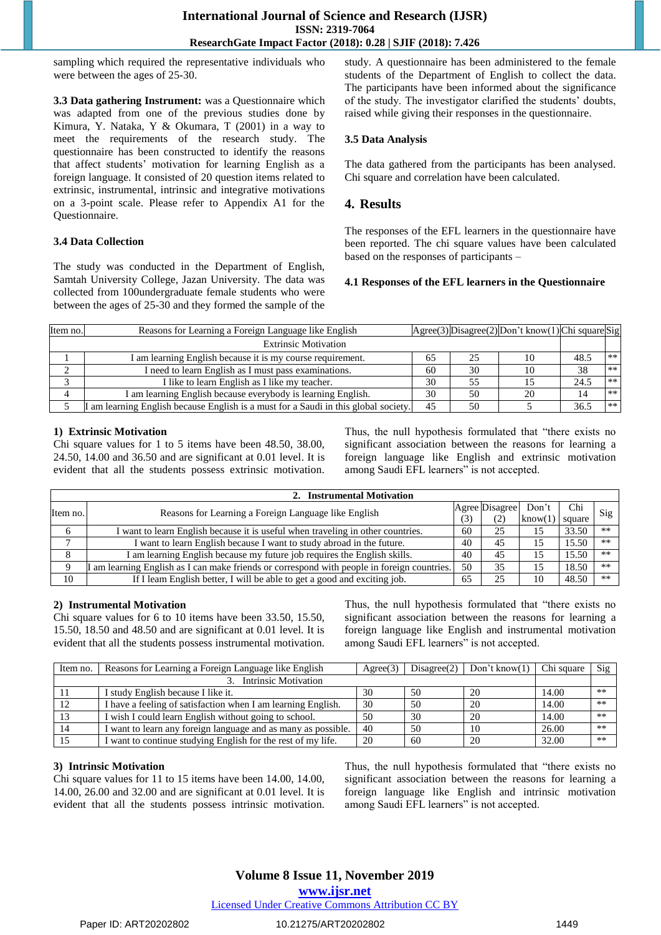sampling which required the representative individuals who were between the ages of 25-30.

**3.3 Data gathering Instrument:** was a Questionnaire which was adapted from one of the previous studies done by Kimura, Y. Nataka, Y & Okumara, T (2001) in a way to meet the requirements of the research study. The questionnaire has been constructed to identify the reasons that affect students' motivation for learning English as a foreign language. It consisted of 20 question items related to extrinsic, instrumental, intrinsic and integrative motivations on a 3-point scale. Please refer to Appendix A1 for the Questionnaire.

### **3.4 Data Collection**

The study was conducted in the Department of English, Samtah University College, Jazan University. The data was collected from 100undergraduate female students who were between the ages of 25-30 and they formed the sample of the study. A questionnaire has been administered to the female students of the Department of English to collect the data. The participants have been informed about the significance of the study. The investigator clarified the students' doubts, raised while giving their responses in the questionnaire.

### **3.5 Data Analysis**

The data gathered from the participants has been analysed. Chi square and correlation have been calculated.

# **4. Results**

The responses of the EFL learners in the questionnaire have been reported. The chi square values have been calculated based on the responses of participants –

#### **4.1 Responses of the EFL learners in the Questionnaire**

| Item no. | Reasons for Learning a Foreign Language like English                                |    |    | $ Agree(3) $ Disagree $(2) $ Don't know $(1) $ Chi square $ Sig $ |      |       |
|----------|-------------------------------------------------------------------------------------|----|----|-------------------------------------------------------------------|------|-------|
|          | <b>Extrinsic Motivation</b>                                                         |    |    |                                                                   |      |       |
|          | I am learning English because it is my course requirement.                          | 65 | 25 |                                                                   | 48.5 | $***$ |
|          | I need to learn English as I must pass examinations.                                | 60 | 30 |                                                                   | 38   | $***$ |
|          | I like to learn English as I like my teacher.                                       | 30 | 55 |                                                                   | 24.5 | $***$ |
|          | I am learning English because everybody is learning English.                        | 30 | 50 | 20                                                                | 14   | $***$ |
|          | I am learning English because English is a must for a Saudi in this global society. | 45 | 50 |                                                                   | 36.5 | $***$ |

#### **1) Extrinsic Motivation**

Chi square values for 1 to 5 items have been 48.50, 38.00, 24.50, 14.00 and 36.50 and are significant at 0.01 level. It is evident that all the students possess extrinsic motivation.

Thus, the null hypothesis formulated that "there exists no significant association between the reasons for learning a foreign language like English and extrinsic motivation among Saudi EFL learners" is not accepted.

| 2. Instrumental Motivation |                                                                                           |     |                |                                     |       |                |  |
|----------------------------|-------------------------------------------------------------------------------------------|-----|----------------|-------------------------------------|-------|----------------|--|
| Item no.                   | Reasons for Learning a Foreign Language like English                                      |     | Agree Disagree | Don't                               | Chi   | $\mathrm{Sig}$ |  |
|                            |                                                                                           | (3) |                | $\vert \text{know}(1) \vert$ square |       |                |  |
| 6                          | I want to learn English because it is useful when traveling in other countries.           | 60  | 25             | 15                                  | 33.50 | $**$           |  |
|                            | I want to learn English because I want to study abroad in the future.                     | 40  | 45             | 15                                  | 15.50 | $***$          |  |
| 8                          | I am learning English because my future job requires the English skills.                  | 40  | 45             | 15                                  | 15.50 | $***$          |  |
| $\Omega$                   | am learning English as I can make friends or correspond with people in foreign countries. | 50  | 35             | 15                                  | 18.50 | $***$          |  |
| 10                         | If I leam English better, I will be able to get a good and exciting job.                  | 65  | 25             | 10                                  | 48.50 | $**$           |  |

#### **2) Instrumental Motivation**

Chi square values for 6 to 10 items have been 33.50, 15.50, 15.50, 18.50 and 48.50 and are significant at 0.01 level. It is evident that all the students possess instrumental motivation. Thus, the null hypothesis formulated that "there exists no significant association between the reasons for learning a foreign language like English and instrumental motivation among Saudi EFL learners" is not accepted.

| Item no. | Reasons for Learning a Foreign Language like English          | A <sub>green(3)</sub> | Disagree(2) | Don't know $(1)$ | Chi square | Sig  |
|----------|---------------------------------------------------------------|-----------------------|-------------|------------------|------------|------|
|          | Intrinsic Motivation                                          |                       |             |                  |            |      |
|          | I study English because I like it.                            | 30                    | 50          | 20               | 14.00      | $**$ |
|          | I have a feeling of satisfaction when I am learning English.  | 30                    | 50          | 20               | 14.00      | $**$ |
|          | i wish I could learn English without going to school.         | 50                    | 30          | 20               | 14.00      | $**$ |
|          | i want to learn any foreign language and as many as possible. | -40                   | 50          |                  | 26.00      | $**$ |
|          | I want to continue studying English for the rest of my life.  | 20                    | 60          | 20               | 32.00      | $**$ |

# **3) Intrinsic Motivation**

Chi square values for 11 to 15 items have been 14.00, 14.00, 14.00, 26.00 and 32.00 and are significant at 0.01 level. It is evident that all the students possess intrinsic motivation.

Thus, the null hypothesis formulated that "there exists no significant association between the reasons for learning a foreign language like English and intrinsic motivation among Saudi EFL learners" is not accepted.

# **Volume 8 Issue 11, November 2019**

**www.ijsr.net**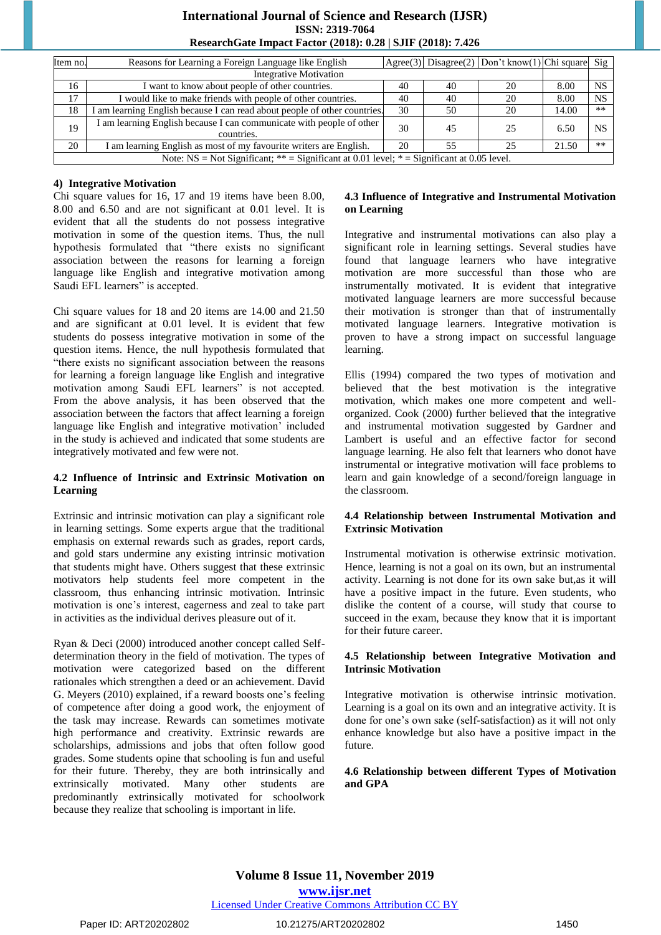### **International Journal of Science and Research (IJSR) ISSN: 2319-7064 ResearchGate Impact Factor (2018): 0.28 | SJIF (2018): 7.426**

| Item no.                                                                                      | Reasons for Learning a Foreign Language like English                               |    |    | Agree(3) Disagree(2) Don't know(1) Chi square Sig |       |           |  |
|-----------------------------------------------------------------------------------------------|------------------------------------------------------------------------------------|----|----|---------------------------------------------------|-------|-----------|--|
|                                                                                               | <b>Integrative Motivation</b>                                                      |    |    |                                                   |       |           |  |
| 16                                                                                            | I want to know about people of other countries.                                    | 40 | 40 | 20                                                | 8.00  | <b>NS</b> |  |
| 17                                                                                            | I would like to make friends with people of other countries.                       | 40 | 40 | 20                                                | 8.00  | <b>NS</b> |  |
| 18                                                                                            | I am learning English because I can read about people of other countries.          | 30 | 50 | 20                                                | 14.00 | $***$     |  |
| 19                                                                                            | I am learning English because I can communicate with people of other<br>countries. | 30 | 45 | 25                                                | 6.50  | <b>NS</b> |  |
| 20                                                                                            | I am learning English as most of my favourite writers are English.                 | 20 | 55 | 25                                                | 21.50 | $**$      |  |
| Note: $NS = Not Significant$ ; ** = Significant at 0.01 level; * = Significant at 0.05 level. |                                                                                    |    |    |                                                   |       |           |  |

**4) Integrative Motivation**

Chi square values for 16, 17 and 19 items have been 8.00, 8.00 and 6.50 and are not significant at 0.01 level. It is evident that all the students do not possess integrative motivation in some of the question items. Thus, the null hypothesis formulated that "there exists no significant association between the reasons for learning a foreign language like English and integrative motivation among Saudi EFL learners" is accepted.

Chi square values for 18 and 20 items are 14.00 and 21.50 and are significant at 0.01 level. It is evident that few students do possess integrative motivation in some of the question items. Hence, the null hypothesis formulated that "there exists no significant association between the reasons for learning a foreign language like English and integrative motivation among Saudi EFL learners" is not accepted. From the above analysis, it has been observed that the association between the factors that affect learning a foreign language like English and integrative motivation' included in the study is achieved and indicated that some students are integratively motivated and few were not.

#### **4.2 Influence of Intrinsic and Extrinsic Motivation on Learning**

Extrinsic and intrinsic motivation can play a significant role in learning settings. Some experts argue that the traditional emphasis on external rewards such as grades, report cards, and gold stars undermine any existing intrinsic motivation that students might have. Others suggest that these extrinsic motivators help students feel more competent in the classroom, thus enhancing intrinsic motivation. Intrinsic motivation is one's interest, eagerness and zeal to take part in activities as the individual derives pleasure out of it.

Ryan & Deci (2000) introduced another concept called Selfdetermination theory in the field of motivation. The types of motivation were categorized based on the different rationales which strengthen a deed or an achievement. David G. Meyers (2010) explained, if a reward boosts one's feeling of competence after doing a good work, the enjoyment of the task may increase. Rewards can sometimes motivate high performance and creativity. Extrinsic rewards are scholarships, admissions and jobs that often follow good grades. Some students opine that schooling is fun and useful for their future. Thereby, they are both intrinsically and extrinsically motivated. Many other students are predominantly extrinsically motivated for schoolwork because they realize that schooling is important in life.

#### **4.3 Influence of Integrative and Instrumental Motivation on Learning**

Integrative and instrumental motivations can also play a significant role in learning settings. Several studies have found that language learners who have integrative motivation are more successful than those who are instrumentally motivated. It is evident that integrative motivated language learners are more successful because their motivation is stronger than that of instrumentally motivated language learners. Integrative motivation is proven to have a strong impact on successful language learning.

Ellis (1994) compared the two types of motivation and believed that the best motivation is the integrative motivation, which makes one more competent and wellorganized. Cook (2000) further believed that the integrative and instrumental motivation suggested by Gardner and Lambert is useful and an effective factor for second language learning. He also felt that learners who donot have instrumental or integrative motivation will face problems to learn and gain knowledge of a second/foreign language in the classroom.

#### **4.4 Relationship between Instrumental Motivation and Extrinsic Motivation**

Instrumental motivation is otherwise extrinsic motivation. Hence, learning is not a goal on its own, but an instrumental activity. Learning is not done for its own sake but,as it will have a positive impact in the future. Even students, who dislike the content of a course, will study that course to succeed in the exam, because they know that it is important for their future career.

#### **4.5 Relationship between Integrative Motivation and Intrinsic Motivation**

Integrative motivation is otherwise intrinsic motivation. Learning is a goal on its own and an integrative activity. It is done for one's own sake (self-satisfaction) as it will not only enhance knowledge but also have a positive impact in the future.

#### **4.6 Relationship between different Types of Motivation and GPA**

# **Volume 8 Issue 11, November 2019 www.ijsr.net**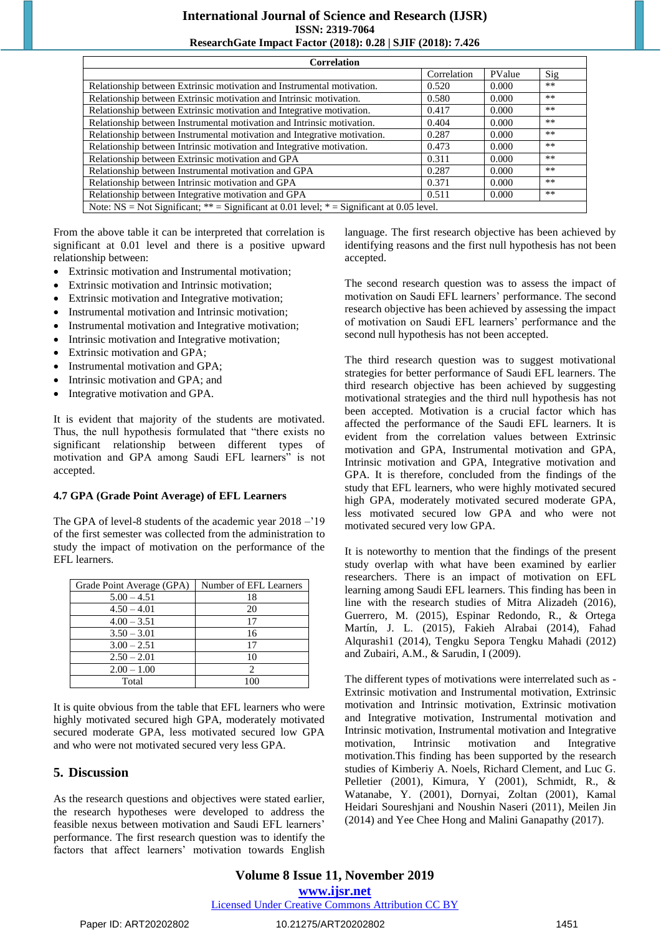# **International Journal of Science and Research (IJSR) ISSN: 2319-7064**

### **ResearchGate Impact Factor (2018): 0.28 | SJIF (2018): 7.426**

| <b>Correlation</b>                                                                         |             |        |       |  |  |
|--------------------------------------------------------------------------------------------|-------------|--------|-------|--|--|
|                                                                                            | Correlation | PValue | Sig   |  |  |
| Relationship between Extrinsic motivation and Instrumental motivation.                     | 0.520       | 0.000  | $***$ |  |  |
| Relationship between Extrinsic motivation and Intrinsic motivation.                        | 0.580       | 0.000  | $***$ |  |  |
| Relationship between Extrinsic motivation and Integrative motivation.                      | 0.417       | 0.000  | $***$ |  |  |
| Relationship between Instrumental motivation and Intrinsic motivation.                     | 0.404       | 0.000  | $***$ |  |  |
| Relationship between Instrumental motivation and Integrative motivation.                   | 0.287       | 0.000  | **    |  |  |
| Relationship between Intrinsic motivation and Integrative motivation.                      | 0.473       | 0.000  | $***$ |  |  |
| Relationship between Extrinsic motivation and GPA                                          | 0.311       | 0.000  | **    |  |  |
| Relationship between Instrumental motivation and GPA                                       | 0.287       | 0.000  | $***$ |  |  |
| Relationship between Intrinsic motivation and GPA                                          | 0.371       | 0.000  | **    |  |  |
| Relationship between Integrative motivation and GPA                                        | 0.511       | 0.000  | **    |  |  |
| Note: NS = Not Significant; ** = Significant at 0.01 level; * = Significant at 0.05 level. |             |        |       |  |  |

From the above table it can be interpreted that correlation is significant at 0.01 level and there is a positive upward relationship between:

- Extrinsic motivation and Instrumental motivation;
- Extrinsic motivation and Intrinsic motivation;
- Extrinsic motivation and Integrative motivation;
- Instrumental motivation and Intrinsic motivation;
- Instrumental motivation and Integrative motivation;
- Intrinsic motivation and Integrative motivation;
- Extrinsic motivation and GPA;
- Instrumental motivation and GPA;
- Intrinsic motivation and GPA; and
- Integrative motivation and GPA.

It is evident that majority of the students are motivated. Thus, the null hypothesis formulated that "there exists no significant relationship between different types of motivation and GPA among Saudi EFL learners" is not accepted.

#### **4.7 GPA (Grade Point Average) of EFL Learners**

The GPA of level-8 students of the academic year 2018 –'19 of the first semester was collected from the administration to study the impact of motivation on the performance of the EFL learners.

| Grade Point Average (GPA) | Number of EFL Learners |
|---------------------------|------------------------|
| $5.00 - 4.51$             | 18                     |
| $4.50 - 4.01$             | 20                     |
| $4.00 - 3.51$             | 17                     |
| $3.50 - 3.01$             | 16                     |
| $3.00 - 2.51$             | 17                     |
| $2.50 - 2.01$             | 10                     |
| $2.00 - 1.00$             |                        |
| Total                     | 100                    |

It is quite obvious from the table that EFL learners who were highly motivated secured high GPA, moderately motivated secured moderate GPA, less motivated secured low GPA and who were not motivated secured very less GPA.

# **5. Discussion**

As the research questions and objectives were stated earlier, the research hypotheses were developed to address the feasible nexus between motivation and Saudi EFL learners' performance. The first research question was to identify the factors that affect learners' motivation towards English

language. The first research objective has been achieved by identifying reasons and the first null hypothesis has not been accepted.

The second research question was to assess the impact of motivation on Saudi EFL learners' performance. The second research objective has been achieved by assessing the impact of motivation on Saudi EFL learners' performance and the second null hypothesis has not been accepted.

The third research question was to suggest motivational strategies for better performance of Saudi EFL learners. The third research objective has been achieved by suggesting motivational strategies and the third null hypothesis has not been accepted. Motivation is a crucial factor which has affected the performance of the Saudi EFL learners. It is evident from the correlation values between Extrinsic motivation and GPA, Instrumental motivation and GPA, Intrinsic motivation and GPA, Integrative motivation and GPA. It is therefore, concluded from the findings of the study that EFL learners, who were highly motivated secured high GPA, moderately motivated secured moderate GPA, less motivated secured low GPA and who were not motivated secured very low GPA.

It is noteworthy to mention that the findings of the present study overlap with what have been examined by earlier researchers. There is an impact of motivation on EFL learning among Saudi EFL learners. This finding has been in line with the research studies of Mitra Alizadeh (2016), Guerrero, M. (2015), Espinar Redondo, R., & Ortega Martín, J. L. (2015), Fakieh Alrabai (2014), Fahad Alqurashi1 (2014), Tengku Sepora Tengku Mahadi (2012) and Zubairi, A.M., & Sarudin, I (2009).

The different types of motivations were interrelated such as - Extrinsic motivation and Instrumental motivation, Extrinsic motivation and Intrinsic motivation, Extrinsic motivation and Integrative motivation, Instrumental motivation and Intrinsic motivation, Instrumental motivation and Integrative motivation, Intrinsic motivation and Integrative motivation.This finding has been supported by the research studies of Kimberiy A. Noels, Richard Clement, and Luc G. Pelletier (2001), Kimura, Y (2001), Schmidt, R., & Watanabe, Y. (2001), Dornyai, Zoltan (2001), Kamal Heidari Soureshjani and Noushin Naseri (2011), Meilen Jin (2014) and Yee Chee Hong and Malini Ganapathy (2017).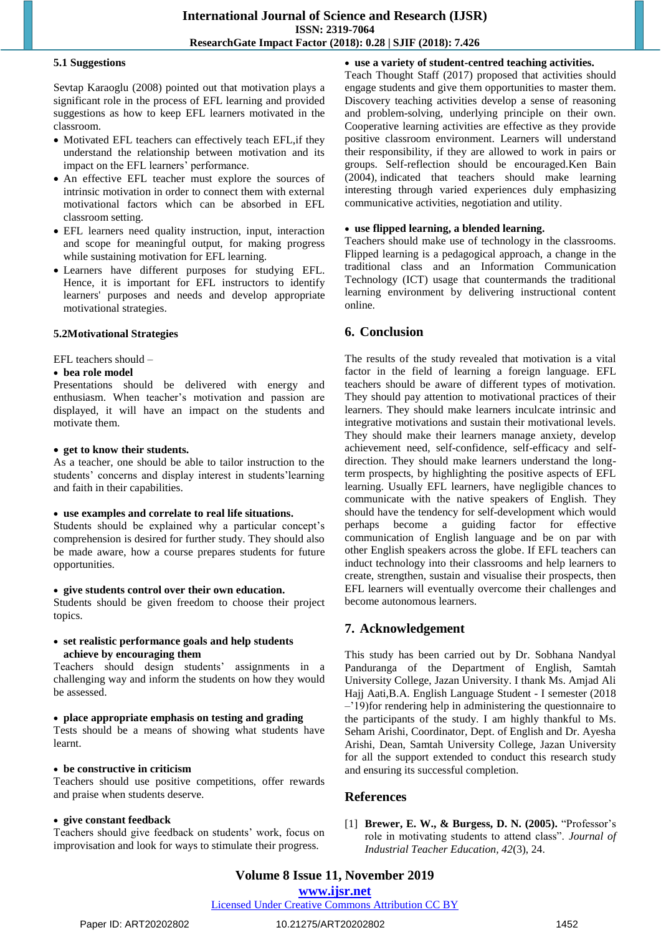#### **5.1 Suggestions**

Sevtap Karaoglu (2008) pointed out that motivation plays a significant role in the process of EFL learning and provided suggestions as how to keep EFL learners motivated in the classroom.

- Motivated EFL teachers can effectively teach EFL, if they understand the relationship between motivation and its impact on the EFL learners' performance.
- An effective EFL teacher must explore the sources of intrinsic motivation in order to connect them with external motivational factors which can be absorbed in EFL classroom setting.
- EFL learners need quality instruction, input, interaction and scope for meaningful output, for making progress while sustaining motivation for EFL learning.
- Learners have different purposes for studying EFL. Hence, it is important for EFL instructors to identify learners' purposes and needs and develop appropriate motivational strategies.

### **5.2Motivational Strategies**

EFL teachers should –

#### **bea role model**

Presentations should be delivered with energy and enthusiasm. When teacher's motivation and passion are displayed, it will have an impact on the students and motivate them.

#### **get to know their students.**

As a teacher, one should be able to tailor instruction to the students' concerns and display interest in students'learning and faith in their capabilities.

#### **use examples and correlate to real life situations.**

Students should be explained why a particular concept's comprehension is desired for further study. They should also be made aware, how a course prepares students for future opportunities.

#### **give students control over their own education.**

Students should be given freedom to choose their project topics.

#### **set realistic performance goals and help students achieve by encouraging them**

Teachers should design students' assignments in a challenging way and inform the students on how they would be assessed.

#### **place appropriate emphasis on testing and grading**

Tests should be a means of showing what students have learnt.

# **be constructive in criticism**

Teachers should use positive competitions, offer rewards and praise when students deserve.

#### **give constant feedback**

Teachers should give feedback on students' work, focus on improvisation and look for ways to stimulate their progress.

 **use a variety of student-centred teaching activities.** Teach Thought Staff (2017) proposed that activities should engage students and give them opportunities to master them. Discovery teaching activities develop a sense of reasoning and problem-solving, underlying principle on their own. Cooperative learning activities are effective as they provide positive classroom environment. Learners will understand their responsibility, if they are allowed to work in pairs or groups. Self-reflection should be encouraged.Ken Bain (2004), indicated that teachers should make learning interesting through varied experiences duly emphasizing communicative activities, negotiation and utility.

#### **use flipped learning, a blended learning.**

Teachers should make use of technology in the classrooms. Flipped learning is a pedagogical approach, a change in the traditional class and an Information Communication Technology (ICT) usage that countermands the traditional learning environment by delivering instructional content online.

# **6. Conclusion**

The results of the study revealed that motivation is a vital factor in the field of learning a foreign language. EFL teachers should be aware of different types of motivation. They should pay attention to motivational practices of their learners. They should make learners inculcate intrinsic and integrative motivations and sustain their motivational levels. They should make their learners manage anxiety, develop achievement need, self-confidence, self-efficacy and selfdirection. They should make learners understand the longterm prospects, by highlighting the positive aspects of EFL learning. Usually EFL learners, have negligible chances to communicate with the native speakers of English. They should have the tendency for self-development which would perhaps become a guiding factor for effective communication of English language and be on par with other English speakers across the globe. If EFL teachers can induct technology into their classrooms and help learners to create, strengthen, sustain and visualise their prospects, then EFL learners will eventually overcome their challenges and become autonomous learners.

# **7. Acknowledgement**

This study has been carried out by Dr. Sobhana Nandyal Panduranga of the Department of English, Samtah University College, Jazan University. I thank Ms. Amjad Ali Hajj Aati,B.A. English Language Student - I semester (2018 –'19)for rendering help in administering the questionnaire to the participants of the study. I am highly thankful to Ms. Seham Arishi, Coordinator, Dept. of English and Dr. Ayesha Arishi, Dean, Samtah University College, Jazan University for all the support extended to conduct this research study and ensuring its successful completion.

# **References**

[1] **Brewer, E. W., & Burgess, D. N. (2005).** "Professor's role in motivating students to attend class". *Journal of Industrial Teacher Education, 42*(3), 24.

**Volume 8 Issue 11, November 2019**

# **www.ijsr.net**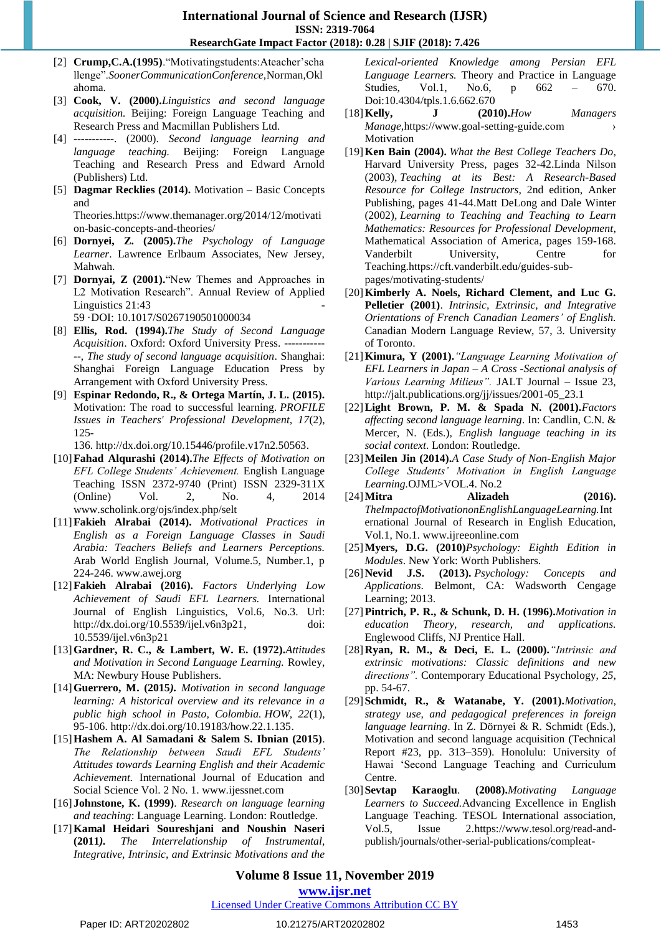- [2] **Crump, C.A.(1995**). "Motivatingstudents: Ateacher'scha llenge‖.*SoonerCommunicationConference,*Norman,Okl ahoma.
- [3] **Cook, V. (2000).***Linguistics and second language acquisition.* Beijing: Foreign Language Teaching and Research Press and Macmillan Publishers Ltd.
- [4] -----------. (2000). *Second language learning and language teaching.* Beijing: Foreign Language Teaching and Research Press and Edward Arnold (Publishers) Ltd.
- [5] **Dagmar Recklies (2014).** Motivation Basic Concepts and

Theorie[s.https://www.themanager.org/2014/12/motivati](https://www.themanager.org/2014/12/motivation-basic-concepts-and-theories/) [on-basic-concepts-and-theories/](https://www.themanager.org/2014/12/motivation-basic-concepts-and-theories/)

- [6] **Dornyei, Z. (2005).***The Psychology of Language Learner*. Lawrence Erlbaum Associates, New Jersey, Mahwah.
- [7] **Dornyai, Z (2001).** "New Themes and Approaches in L2 Motivation Research". [Annual](https://www.researchgate.net/journal/1471-6356_Annual_Review_of_Applied_Linguistics) Review of Applied [Linguistics](https://www.researchgate.net/journal/1471-6356_Annual_Review_of_Applied_Linguistics) 21:43 59 ·DOI: [10.1017/S0267190501000034](http://dx.doi.org/10.1017/S0267190501000034)
- [8] **Ellis, Rod. (1994).***The Study of Second Language Acquisition*. Oxford: Oxford University Press. ----------- --, *The study of second language acquisition*. Shanghai: Shanghai Foreign Language Education Press by Arrangement with Oxford University Press.
- [9] **Espinar Redondo, R., & Ortega Martín, J. L. (2015).** Motivation: The road to successful learning. *PROFILE Issues in Teachers' Professional Development, 17*(2), 125-

136. [http://dx.doi.org/10.15446/profile.v17n2.50563.](http://dx.doi.org/10.15446/profile.v17n2.50563)

- [10]**Fahad Alqurashi (2014).***The Effects of Motivation on EFL College Students' Achievement.* English Language Teaching ISSN 2372-9740 (Print) ISSN 2329-311X (Online) Vol. 2, No. 4, 2014 [www.scholink.org/ojs/index.php/selt](http://www.scholink.org/ojs/index.php/selt)
- [11]**Fakieh Alrabai (2014).** *Motivational Practices in English as a Foreign Language Classes in Saudi Arabia: Teachers Beliefs and Learners Perceptions.* Arab World English Journal, Volume.5, Number.1, p 224-246. [www.awej.org](http://www.awej.org/)
- [12]**Fakieh Alrabai (2016).** *Factors Underlying Low Achievement of Saudi EFL Learners.* International Journal of English Linguistics, Vol.6, No.3. Url: [http://dx.doi.org/10.5539/ijel.v6n3p21,](http://dx.doi.org/10.5539/ijel.v6n3p21) doi: 10.5539/ijel.v6n3p21
- [13]**Gardner, R. C., & Lambert, W. E. (1972).***Attitudes and Motivation in Second Language Learning.* Rowley, MA: Newbury House Publishers.
- [14]**Guerrero, M. (2015***). Motivation in second language learning: A historical overview and its relevance in a public high school in Pasto, Colombia. HOW, 22*(1), 95-106. [http://dx.doi.org/10.19183/how.22.1.135.](http://dx.doi.org/10.19183/how.22.1.135)
- [15]**Hashem A. Al Samadani & Salem S. Ibnian (2015)**. *The Relationship between Saudi EFL Students' Attitudes towards Learning English and their Academic Achievement.* International Journal of Education and Social Science Vol. 2 No. 1. [www.ijessnet.com](http://www.ijessnet.com/)
- [16] **Johnstone, K. (1999)**. *Research on language learning and teaching*: Language Learning. London: Routledge.
- [17]**Kamal Heidari Soureshjani and Noushin Naseri (2011***). The Interrelationship of Instrumental, Integrative, Intrinsic, and Extrinsic Motivations and the*

*Lexical-oriented Knowledge among Persian EFL Language Learners.* Theory and Practice in Language Studies, Vol.1, No.6, p 662 – 670. Doi:10.4304/tpls.1.6.662.670

- [18]**Kelly, J (2010).***How Managers Manage,*https://www.goal-setting-guide.com › Motivation
- [19]**Ken Bain (2004).** *What the Best College Teachers Do*, Harvard University Press, pages 32-42.Linda Nilson (2003)*, Teaching at its Best: A Research-Based Resource for College Instructors*, 2nd edition, Anker Publishing, pages 41-44.Matt DeLong and Dale Winter (2002)*, Learning to Teaching and Teaching to Learn Mathematics: Resources for Professional Development*, Mathematical Association of America, pages 159-168. Vanderbilt University, Centre for Teaching.https://cft.vanderbilt.edu/guides-subpages/motivating-students/
- [20]**Kimberly A. Noels, Richard Clement, and Luc G. Pelletier (2001)**. *Intrinsic, Extrinsic, and Integrative Orientations of French Canadian Leamers' of English.* Canadian Modern Language Review, 57, 3. University of Toronto.
- [21]**Kimura, Y (2001).***"Language Learning Motivation of EFL Learners in Japan – A Cross -Sectional analysis of Various Learning Milieus".* JALT Journal – Issue 23, [http://jalt.publications.org/jj/issues/2001-05\\_23.1](http://jalt.publications.org/jj/issues/2001-05_23.1)
- [22]**Light Brown, P. M. & Spada N. (2001).***Factors affecting second language learning*. In: Candlin, C.N. & Mercer, N. (Eds.), *English language teaching in its social context*. London: Routledge.
- [23]**Meilen Jin (2014).***A Case Study of Non-English Major College Students' Motivation in English Language Learning.*OJML>VOL.4. No.2
- [24]**Mitra Alizadeh (2016).**  *TheImpactofMotivationonEnglishLanguageLearning.*Int ernational Journal of Research in English Education, Vol.1, No.1. [www.ijreeonline.com](http://www.ijreeonline.com/)
- [25]**Myers, D.G. (2010)***Psychology: Eighth Edition in Modules*. New York: Worth Publishers.
- [26]**Nevid J.S. (2013).** *Psychology: Concepts and Applications*. Belmont, CA: Wadsworth Cengage Learning; 2013.
- [27]**Pintrich, P. R., & Schunk, D. H. (1996).***Motivation in education Theory, research, and applications.* Englewood Cliffs, NJ Prentice Hall.
- [28]**Ryan, R. M., & Deci, E. L. (2000).***"Intrinsic and extrinsic motivations: Classic definitions and new directions".* Contemporary Educational Psychology, *25*, pp. 54-67.
- [29]**Schmidt, R., & Watanabe, Y. (2001).***Motivation, strategy use, and pedagogical preferences in foreign language learning*. In Z. Dörnyei & R. Schmidt (Eds.), Motivation and second language acquisition (Technical Report #23, pp. 313–359). Honolulu: University of Hawai 'Second Language Teaching and Curriculum Centre.
- [30]**Sevtap Karaoglu**. **(2008).***Motivating Language Learners to Succeed.*Advancing Excellence in English Language Teaching. TESOL International association, Vol.5, Issue 2[.https://www.tesol.org/read-and](https://www.tesol.org/read-and-publish/journals/other-serial-publications/compleat-links/compleat-links-volume-5-issue-2-(june-2008)/motivating-language)[publish/journals/other-serial-publications/compleat-](https://www.tesol.org/read-and-publish/journals/other-serial-publications/compleat-links/compleat-links-volume-5-issue-2-(june-2008)/motivating-language)

**Volume 8 Issue 11, November 2019 www.ijsr.net**